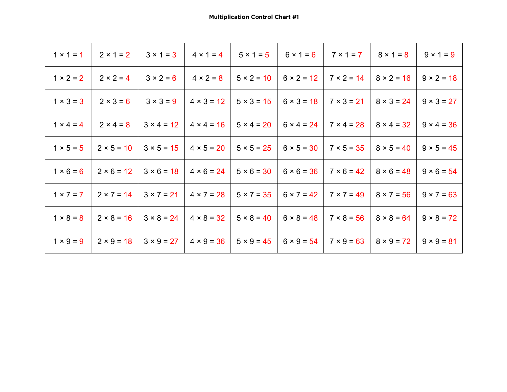| $1 \times 1 = 1$ | $2 \times 1 = 2$  | $3 \times 1 = 3$  | $4 \times 1 = 4$  | $5 \times 1 = 5$  | $6 \times 1 = 6$  | $7 \times 1 = 7$  | $8 \times 1 = 8$  | $9 \times 1 = 9$  |
|------------------|-------------------|-------------------|-------------------|-------------------|-------------------|-------------------|-------------------|-------------------|
| $1 × 2 = 2$      | $2 × 2 = 4$       | $3 × 2 = 6$       | $4 \times 2 = 8$  | $5 \times 2 = 10$ | $6 \times 2 = 12$ | $7 \times 2 = 14$ | $8 \times 2 = 16$ | $9 \times 2 = 18$ |
| $1 \times 3 = 3$ | $2 \times 3 = 6$  | $3 \times 3 = 9$  | $4 \times 3 = 12$ | $5 \times 3 = 15$ | $6 \times 3 = 18$ | $7 \times 3 = 21$ | $8 \times 3 = 24$ | $9 \times 3 = 27$ |
| $1 \times 4 = 4$ | $2 × 4 = 8$       | $3 \times 4 = 12$ | $4 \times 4 = 16$ | $5 \times 4 = 20$ | $6 \times 4 = 24$ | $7 × 4 = 28$      | $8 \times 4 = 32$ | $9 \times 4 = 36$ |
| $1 × 5 = 5$      | $2 × 5 = 10$      | $3 × 5 = 15$      | $4 \times 5 = 20$ | $5 × 5 = 25$      | $6 \times 5 = 30$ | $7 × 5 = 35$      | $8 \times 5 = 40$ | $9 \times 5 = 45$ |
| $1 × 6 = 6$      | $2 × 6 = 12$      | $3 × 6 = 18$      | $4 \times 6 = 24$ | $5 × 6 = 30$      | $6 \times 6 = 36$ | $7 × 6 = 42$      | $8 × 6 = 48$      | $9 \times 6 = 54$ |
| $1 \times 7 = 7$ | $2 \times 7 = 14$ | $3 × 7 = 21$      | $4 \times 7 = 28$ | $5 \times 7 = 35$ | $6 \times 7 = 42$ | $7 \times 7 = 49$ | $8 \times 7 = 56$ | $9 \times 7 = 63$ |
| $1 × 8 = 8$      | $2 × 8 = 16$      | $3 × 8 = 24$      | $4 \times 8 = 32$ | $5 \times 8 = 40$ | $6 \times 8 = 48$ | $7 × 8 = 56$      | $8 \times 8 = 64$ | $9 \times 8 = 72$ |
| $1 \times 9 = 9$ | $2 × 9 = 18$      | $3 × 9 = 27$      | $4 \times 9 = 36$ | $5 \times 9 = 45$ | $6 \times 9 = 54$ | $7 × 9 = 63$      | $8 \times 9 = 72$ | $9 \times 9 = 81$ |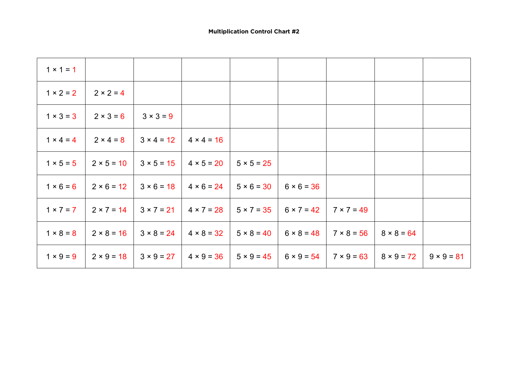| $1 \times 1 = 1$ |                   |                  |                   |                   |                   |                   |                   |                   |
|------------------|-------------------|------------------|-------------------|-------------------|-------------------|-------------------|-------------------|-------------------|
| $1 × 2 = 2$      | $2 × 2 = 4$       |                  |                   |                   |                   |                   |                   |                   |
| $1 × 3 = 3$      | $2 \times 3 = 6$  | $3 \times 3 = 9$ |                   |                   |                   |                   |                   |                   |
| $1 \times 4 = 4$ | $2 \times 4 = 8$  | $3 × 4 = 12$     | $4 \times 4 = 16$ |                   |                   |                   |                   |                   |
| $1 × 5 = 5$      | $2 × 5 = 10$      | $3 × 5 = 15$     | $4 \times 5 = 20$ | $5 × 5 = 25$      |                   |                   |                   |                   |
| $1 × 6 = 6$      | $2 × 6 = 12$      | $3 × 6 = 18$     | $4 \times 6 = 24$ | $5 × 6 = 30$      | $6 × 6 = 36$      |                   |                   |                   |
| $1 × 7 = 7$      | $2 \times 7 = 14$ | $3 × 7 = 21$     | $4 \times 7 = 28$ | $5 \times 7 = 35$ | $6 \times 7 = 42$ | $7 \times 7 = 49$ |                   |                   |
| $1 × 8 = 8$      | $2 × 8 = 16$      | $3 × 8 = 24$     | $4 \times 8 = 32$ | $5 \times 8 = 40$ | $6 \times 8 = 48$ | $7 × 8 = 56$      | $8 × 8 = 64$      |                   |
| $1 \times 9 = 9$ | $2 × 9 = 18$      | $3 × 9 = 27$     | $4 \times 9 = 36$ | $5 \times 9 = 45$ | $6 \times 9 = 54$ | $7 \times 9 = 63$ | $8 \times 9 = 72$ | $9 \times 9 = 81$ |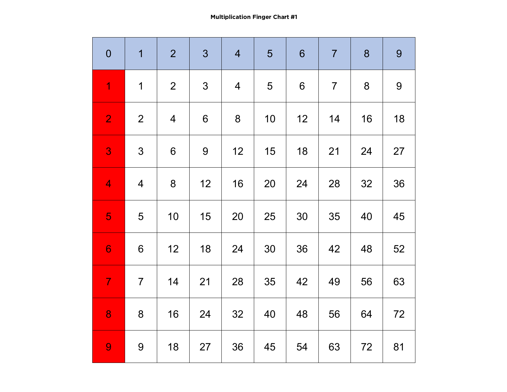**Multiplication Finger Chart #1**

| $\mathbf 0$    | 1               | $\overline{2}$ | 3              | $\overline{4}$ | 5  | $6\phantom{1}$ | $\overline{7}$ | 8  | 9  |
|----------------|-----------------|----------------|----------------|----------------|----|----------------|----------------|----|----|
| $\overline{1}$ | $\mathbf 1$     | $\overline{2}$ | $\mathfrak{S}$ | $\overline{4}$ | 5  | 6              | $\overline{7}$ | 8  | 9  |
| $\overline{2}$ | $\overline{2}$  | $\overline{4}$ | 6              | 8              | 10 | 12             | 14             | 16 | 18 |
| 3              | $\mathfrak{S}$  | 6              | 9              | 12             | 15 | 18             | 21             | 24 | 27 |
| $\overline{4}$ | $\overline{4}$  | 8              | 12             | 16             | 20 | 24             | 28             | 32 | 36 |
| 5              | 5               | 10             | 15             | 20             | 25 | 30             | 35             | 40 | 45 |
| 6              | $6\phantom{1}6$ | 12             | 18             | 24             | 30 | 36             | 42             | 48 | 52 |
| $\overline{7}$ | $\overline{7}$  | 14             | 21             | 28             | 35 | 42             | 49             | 56 | 63 |
| 8              | $8\phantom{1}$  | 16             | 24             | 32             | 40 | 48             | 56             | 64 | 72 |
| 9              | $9$             | 18             | 27             | 36             | 45 | 54             | 63             | 72 | 81 |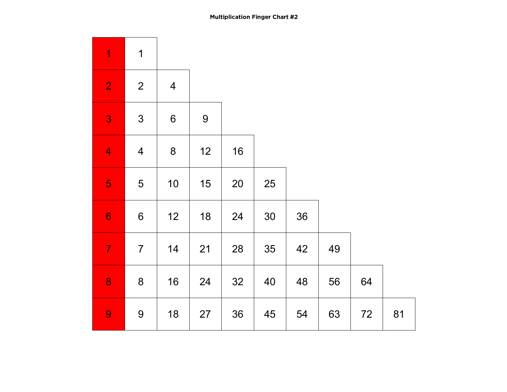| $\overline{1}$           | $\overline{1}$   |                |                |    |    |    |    |    |    |  |
|--------------------------|------------------|----------------|----------------|----|----|----|----|----|----|--|
| $\overline{2}$           | $\overline{2}$   | $\overline{4}$ |                |    |    |    |    |    |    |  |
| 3                        | 3                | $\,$ 6 $\,$    | $\overline{9}$ |    |    |    |    |    |    |  |
| $\overline{\mathcal{A}}$ | $\overline{4}$   | 8              | 12             | 16 |    |    |    |    |    |  |
| 5                        | 5                | $10$           | 15             | 20 | 25 |    |    |    |    |  |
| $\boldsymbol{6}$         | $\boldsymbol{6}$ | 12             | 18             | 24 | 30 | 36 |    |    |    |  |
| $\overline{7}$           | $\overline{7}$   | 14             | 21             | 28 | 35 | 42 | 49 |    |    |  |
| 8                        | $\bf 8$          | 16             | 24             | 32 | 40 | 48 | 56 | 64 |    |  |
| 9                        | $\overline{9}$   | 18             | 27             | 36 | 45 | 54 | 63 | 72 | 81 |  |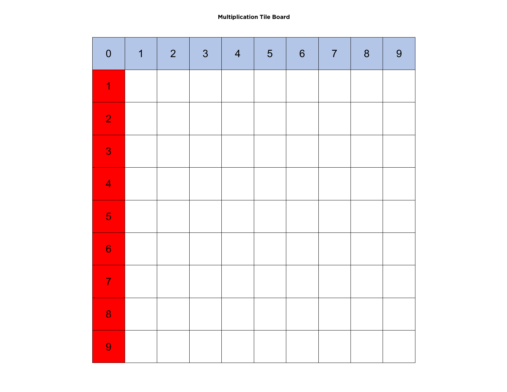**Multiplication Tile Board**

| $\boldsymbol{0}$ | $\overline{\mathbf{1}}$ | $\overline{2}$ | 3 | $\overline{4}$ | $\overline{5}$ | $\boldsymbol{6}$ | $\overline{7}$ | $\boldsymbol{8}$ | 9 |
|------------------|-------------------------|----------------|---|----------------|----------------|------------------|----------------|------------------|---|
| 1                |                         |                |   |                |                |                  |                |                  |   |
| $\overline{2}$   |                         |                |   |                |                |                  |                |                  |   |
| 3                |                         |                |   |                |                |                  |                |                  |   |
| $\overline{4}$   |                         |                |   |                |                |                  |                |                  |   |
| $\overline{5}$   |                         |                |   |                |                |                  |                |                  |   |
| $\overline{6}$   |                         |                |   |                |                |                  |                |                  |   |
| $\overline{7}$   |                         |                |   |                |                |                  |                |                  |   |
| 8                |                         |                |   |                |                |                  |                |                  |   |
| 9                |                         |                |   |                |                |                  |                |                  |   |